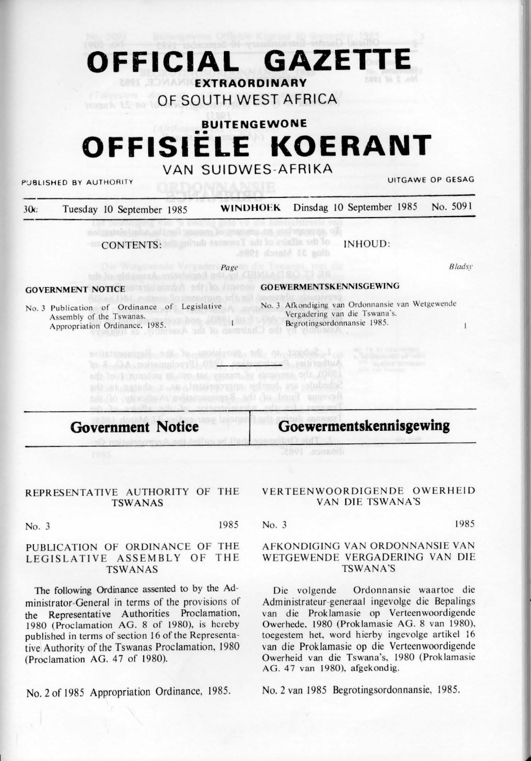# **OFFICIAL GAZETTE**

**EXTRAORDINARY** 

**OF SOUTH WEST AFRICA** 

## **BUITENGEWONE**  •• **OFFISIELE KOERANT**

### **VAN SUIDWES-AFRIKA**

PUBLISHED BY AUTHORITY UITGAWE OP GESAG

| 30c | Tuesday 10 September 1985 | WINDHOEK Dinsdag 10 September 1985 No. 5091 |  |
|-----|---------------------------|---------------------------------------------|--|
|     |                           |                                             |  |

.8801 Annald IE golb

CONTENTS: INHOUD:

Assembly of the Tswanas. Appropriation Ordinance, 1985.

**Page** 

Authorities, Passing also (President Dresding AC), at all

Revenue Tund of the Representative should concern and

*8 /adsy* 

 $\overline{1}$ 

### **GOVERNMENT NOTICE GOEWERMENTSKENNISGEWING**

No. 3 Publication of Ordinance of Legislative No. 3 Afkondiging van Ordonnansie van Wetgewende Vcrgadering van die Tswana's. Begrotingsordonnansic 1985.

## **Government Notice**

### **Goewermentskennisgewing**

### REPRESENTATIVE AUTHORITY OF THE TSWANAS

No. 3 1985

### PUBLICATION OF ORDINANCE OF THE LEGISLATIVE ASSEMBLY OF THE **TSWANAS**

The following Ordinance assented to by the Administrator-General in terms of the provisions of the Representative Authorities Proclamation, 1980 (Proclamation **AG. 8** of 1980). is hereby published in terms of section 16 of the Representative Authority of the Tswanas Proclamation, 1980 (Proclamation AG.  $47$  of 1980).

No. 2 of 1985 Appropriation Ordinance, 1985.

#### VERTEENWOORDIGENDE OWERHEID VAN DIE TSWANA'S

No. 3 1985

#### AFKONDIGING VAN ORDONNANSIE VAN WETGEWENDE VERGADERING VAN DIE TSWANA'S

Die volgende Ordonnansie waartoe die Administrateur-generaal ingevolge die Bepalings van die Proklamasie op Verteenwoordigende Owerhede. 1980 (Proklamasie AG. 8 van 1980), toegestem het, word hierby ingevolge artikel 16 van die Proklamasie op die Verteenwoordigende Owerheid van die Tswana's, 1980 (Proklamasie AG. 47 van 1980), afgekondig.

No. 2 van 1985 Begrotingsordonnansie, 1985.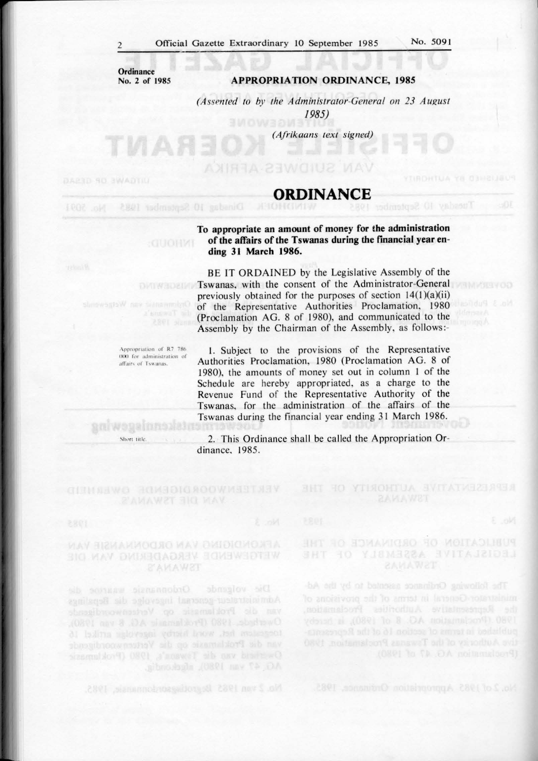**Ordinance No. 2 of 1985** 

ИАЯЗ

**GUORNT** 

#### **APPROPRlA TION ORDINANCE, 1985**

*(Assented to by the Administrator-General on 23 August 1985)* 

*(Aji-ikaans text signed)* 

## **ORDINANCE EXPIRITION ORDINANCE EXPIRIMENT**

**To appropriate an amount of money for the administration of the affairs of the Tswanas during the financial year ending 31 March 1986.** 

BE IT ORDAINED by the Legislative Assembly of the Tswanas, with the consent of the Administrator-General previously obtained for the purposes of section  $14(1)(a)(ii)$ of the Representative Authorities Proclamation, 1980 (Proclamation AG. 8 of 1980), and communicated to the Assembly by the Chairman of the Assembly, as follows:-

!. Subject to the provisions of the Representative Authorities Proclamation, 1980 (Proc lamation **AG. 8** of 1980). the amounts of money set out in column I of the Schedule are hereby appropriated, as a charge to the Revenue Fund of the Representative Authority of the Tswanas, for the administration of the affairs of the Tswanas during the financial year ending 31 March 1986.

2. This Ordinance shall be called the Appropriation Ordinance, 1985.

### **WETCHWENDE VERGADERING VAN DIE BAMAWST**

Appropriation of R7 786 000 for administration of affairs of Tswanas.

Ordonansie waartoe die toegestem het, word hierby ingevolgs artikel 16 van die Proklamasie op die Verteenwoordigende

No. 2 van 1985 Begrotingsordonnunsie, 1985.

aniwegaina Short title

> PUBLICATION OF ORDINAMICE OF LEGISLATIVE ASSEMBLY

YTIJOHTUA SVITATVE29AUS

1980 (Proclamation AG. 8 of 1980), is hereby

**COVERNMEN**